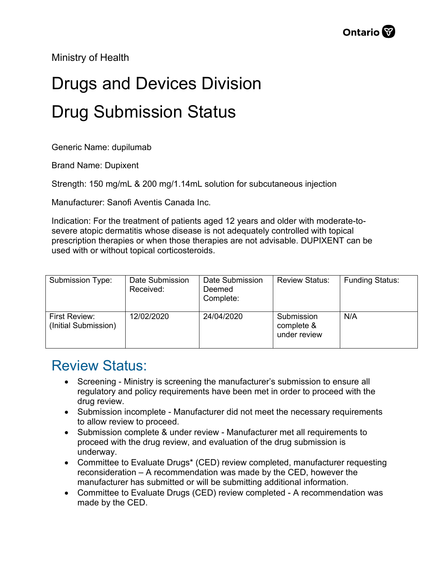Ministry of Health

## Drugs and Devices Division Drug Submission Status

Generic Name: dupilumab

Brand Name: Dupixent

Strength: 150 mg/mL & 200 mg/1.14mL solution for subcutaneous injection

Manufacturer: Sanofi Aventis Canada Inc.

Indication: For the treatment of patients aged 12 years and older with moderate-tosevere atopic dermatitis whose disease is not adequately controlled with topical prescription therapies or when those therapies are not advisable. DUPIXENT can be used with or without topical corticosteroids.

| Submission Type:                             | Date Submission<br>Received: | Date Submission<br>Deemed<br>Complete: | <b>Review Status:</b>                    | <b>Funding Status:</b> |
|----------------------------------------------|------------------------------|----------------------------------------|------------------------------------------|------------------------|
| <b>First Review:</b><br>(Initial Submission) | 12/02/2020                   | 24/04/2020                             | Submission<br>complete &<br>under review | N/A                    |

## Review Status:

- Screening Ministry is screening the manufacturer's submission to ensure all regulatory and policy requirements have been met in order to proceed with the drug review.
- Submission incomplete Manufacturer did not meet the necessary requirements to allow review to proceed.
- Submission complete & under review Manufacturer met all requirements to proceed with the drug review, and evaluation of the drug submission is underway.
- Committee to Evaluate Drugs\* (CED) review completed, manufacturer requesting reconsideration – A recommendation was made by the CED, however the manufacturer has submitted or will be submitting additional information.
- Committee to Evaluate Drugs (CED) review completed A recommendation was made by the CED.